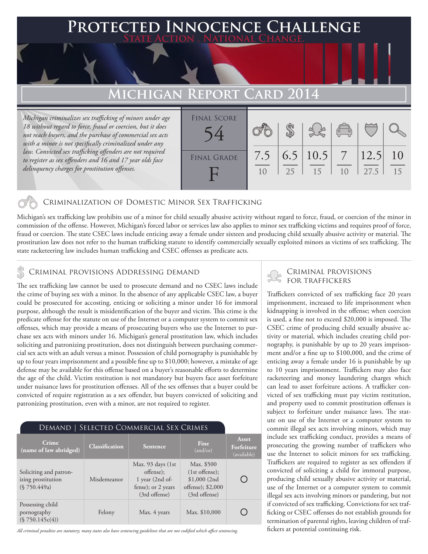### **FED INNOCENCE CHALLENGE State Action . National Change.**

## **MICHIGAN REPORT CARD**

*Michigan criminalizes sex trafficking of minors under age 18 without regard to force, fraud or coercion, but it does not reach buyers, and the purchase of commercial sex acts with a minor is not specifically criminalized under any law. Convicted sex trafficking offenders are not required to register as sex offenders and 16 and 17 year olds face delinquency charges for prostitution offenses.*

| <b>FINAL SCORE</b> |           |    |                    | $\begin{pmatrix} 0 & 0 \\ 0 & 0 \end{pmatrix}$ |              |          |
|--------------------|-----------|----|--------------------|------------------------------------------------|--------------|----------|
| <b>FINAL GRADE</b> | 7.5<br>10 | 25 | 6.5   10.5  <br>15 | $7 \overline{)}$<br>10                         | 12.5<br>27.5 | 10<br>15 |
|                    |           |    |                    |                                                |              |          |

### Criminalization of Domestic Minor Sex Trafficking

Michigan's sex trafficking law prohibits use of a minor for child sexually abusive activity without regard to force, fraud, or coercion of the minor in commission of the offense. However, Michigan's forced labor or services law also applies to minor sex trafficking victims and requires proof of force, fraud or coercion. The state CSEC laws include enticing away a female under sixteen and producing child sexually abusive activity or material. The prostitution law does not refer to the human trafficking statute to identify commercially sexually exploited minors as victims of sex trafficking. The state racketeering law includes human trafficking and CSEC offenses as predicate acts.

### Criminal provisions Addressing demand

The sex trafficking law cannot be used to prosecute demand and no CSEC laws include the crime of buying sex with a minor. In the absence of any applicable CSEC law, a buyer could be prosecuted for accosting, enticing or soliciting a minor under 16 for immoral purpose, although the result is misidentification of the buyer and victim. This crime is the predicate offense for the statute on use of the Internet or a computer system to commit sex offenses, which may provide a means of prosecuting buyers who use the Internet to purchase sex acts with minors under 16. Michigan's general prostitution law, which includes soliciting and patronizing prostitution, does not distinguish between purchasing commercial sex acts with an adult versus a minor. Possession of child pornography is punishable by up to four years imprisonment and a possible fine up to \$10,000; however, a mistake of age defense may be available for this offense based on a buyer's reasonable efforts to determine the age of the child. Victim restitution is not mandatory but buyers face asset forfeiture under nuisance laws for prostitution offenses. All of the sex offenses that a buyer could be convicted of require registration as a sex offender, but buyers convicted of soliciting and patronizing prostitution, even with a minor, are not required to register.

| DEMAND   SELECTED COMMERCIAL SEX CRIMES                      |                       |                                                                                           |                                                                                      |                                    |  |  |  |  |
|--------------------------------------------------------------|-----------------------|-------------------------------------------------------------------------------------------|--------------------------------------------------------------------------------------|------------------------------------|--|--|--|--|
| Crime<br>(name of law abridged)                              | <b>Classification</b> | <b>Sentence</b>                                                                           | Fine<br>(and/or)                                                                     | Asset<br>Forfeiture<br>(available) |  |  |  |  |
| Soliciting and patron-<br>izing prostitution<br>(S 750.449a) | Misdemeanor           | Max. 93 days (1st)<br>offense);<br>1 year (2nd of-<br>fense); or 2 years<br>(3rd offense) | Max. \$500<br>$(1st$ offense);<br>\$1,000(2nd)<br>offense); \$2,000<br>(3rd offense) |                                    |  |  |  |  |
| Possessing child<br>pornography<br>(S 750.145c(4))           | Felony                | Max. 4 years                                                                              | Max. \$10,000                                                                        |                                    |  |  |  |  |

*All criminal penalties are statutory; many states also have sentencing guidelines that are not codified which affect sentencing.* 

# ⊾ Criminal provisions<br>↑ for traffickers

Traffickers convicted of sex trafficking face 20 years imprisonment, increased to life imprisonment when kidnapping is involved in the offense; when coercion is used, a fine not to exceed \$20,000 is imposed. The CSEC crime of producing child sexually abusive activity or material, which includes creating child pornography, is punishable by up to 20 years imprisonment and/or a fine up to \$100,000, and the crime of enticing away a female under 16 is punishable by up to 10 years imprisonment. Traffickers may also face racketeering and money laundering charges which can lead to asset forfeiture actions. A trafficker convicted of sex trafficking must pay victim restitution, and property used to commit prostitution offenses is subject to forfeiture under nuisance laws. The statute on use of the Internet or a computer system to commit illegal sex acts involving minors, which may include sex trafficking conduct, provides a means of prosecuting the growing number of traffickers who use the Internet to solicit minors for sex trafficking. Traffickers are required to register as sex offenders if convicted of soliciting a child for immoral purpose, producing child sexually abusive activity or material, use of the Internet or a computer system to commit illegal sex acts involving minors or pandering, but not if convicted of sex trafficking. Convictions for sex trafficking or CSEC offenses do not establish grounds for termination of parental rights, leaving children of traffickers at potential continuing risk.